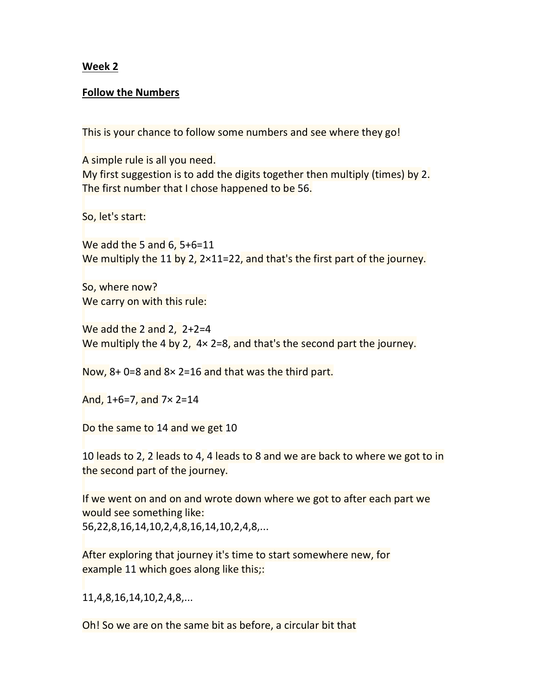## Week 2

## Follow the Numbers

This is your chance to follow some numbers and see where they go!

A simple rule is all you need.

My first suggestion is to add the digits together then multiply (times) by 2. The first number that I chose happened to be 56.

So, let's start:

We add the 5 and 6, 5+6=11 We multiply the 11 by 2, 2×11=22, and that's the first part of the journey.

So, where now? We carry on with this rule:

We add the 2 and 2, 2+2=4 We multiply the 4 by 2, 4× 2=8, and that's the second part the journey.

Now, 8+ 0=8 and 8× 2=16 and that was the third part.

And, 1+6=7, and 7× 2=14

Do the same to 14 and we get 10

10 leads to 2, 2 leads to 4, 4 leads to 8 and we are back to where we got to in the second part of the journey.

If we went on and on and wrote down where we got to after each part we would see something like: 56,22,8,16,14,10,2,4,8,16,14,10,2,4,8,...

After exploring that journey it's time to start somewhere new, for example 11 which goes along like this;:

11,4,8,16,14,10,2,4,8,...

Oh! So we are on the same bit as before, a circular bit that